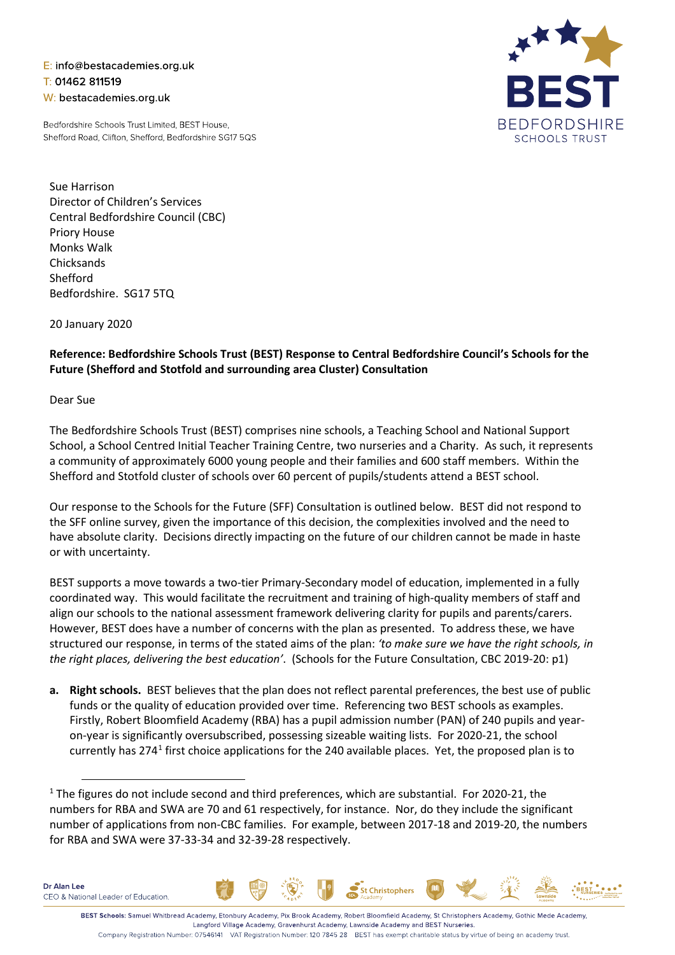E: info@bestacademies.org.uk T: 01462 811519 W: bestacademies.org.uk

Bedfordshire Schools Trust Limited, BEST House, Shefford Road, Clifton, Shefford, Bedfordshire SG17 5QS



Sue Harrison Director of Children's Services Central Bedfordshire Council (CBC) Priory House Monks Walk **Chicksands** Shefford Bedfordshire. SG17 5TQ

20 January 2020

## **Reference: Bedfordshire Schools Trust (BEST) Response to Central Bedfordshire Council's Schools for the Future (Shefford and Stotfold and surrounding area Cluster) Consultation**

## Dear Sue

The Bedfordshire Schools Trust (BEST) comprises nine schools, a Teaching School and National Support School, a School Centred Initial Teacher Training Centre, two nurseries and a Charity. As such, it represents a community of approximately 6000 young people and their families and 600 staff members. Within the Shefford and Stotfold cluster of schools over 60 percent of pupils/students attend a BEST school.

Our response to the Schools for the Future (SFF) Consultation is outlined below. BEST did not respond to the SFF online survey, given the importance of this decision, the complexities involved and the need to have absolute clarity. Decisions directly impacting on the future of our children cannot be made in haste or with uncertainty.

BEST supports a move towards a two-tier Primary-Secondary model of education, implemented in a fully coordinated way. This would facilitate the recruitment and training of high-quality members of staff and align our schools to the national assessment framework delivering clarity for pupils and parents/carers. However, BEST does have a number of concerns with the plan as presented. To address these, we have structured our response, in terms of the stated aims of the plan: *'to make sure we have the right schools, in the right places, delivering the best education'*. (Schools for the Future Consultation, CBC 2019-20: p1)

**a. Right schools.** BEST believes that the plan does not reflect parental preferences, the best use of public funds or the quality of education provided over time. Referencing two BEST schools as examples. Firstly, Robert Bloomfield Academy (RBA) has a pupil admission number (PAN) of 240 pupils and yearon-year is significantly oversubscribed, possessing sizeable waiting lists. For 2020-21, the school currently has 274[1](#page-0-0) first choice applications for the 240 available places. Yet, the proposed plan is to



Company Registration Number: 07546141 VAT Registration Number: 120 7845 28 BEST has exempt charitable status by virtue of being an academy trust.

Christophers

<span id="page-0-0"></span> $1$  The figures do not include second and third preferences, which are substantial. For 2020-21, the numbers for RBA and SWA are 70 and 61 respectively, for instance. Nor, do they include the significant number of applications from non-CBC families. For example, between 2017-18 and 2019-20, the numbers for RBA and SWA were 37-33-34 and 32-39-28 respectively.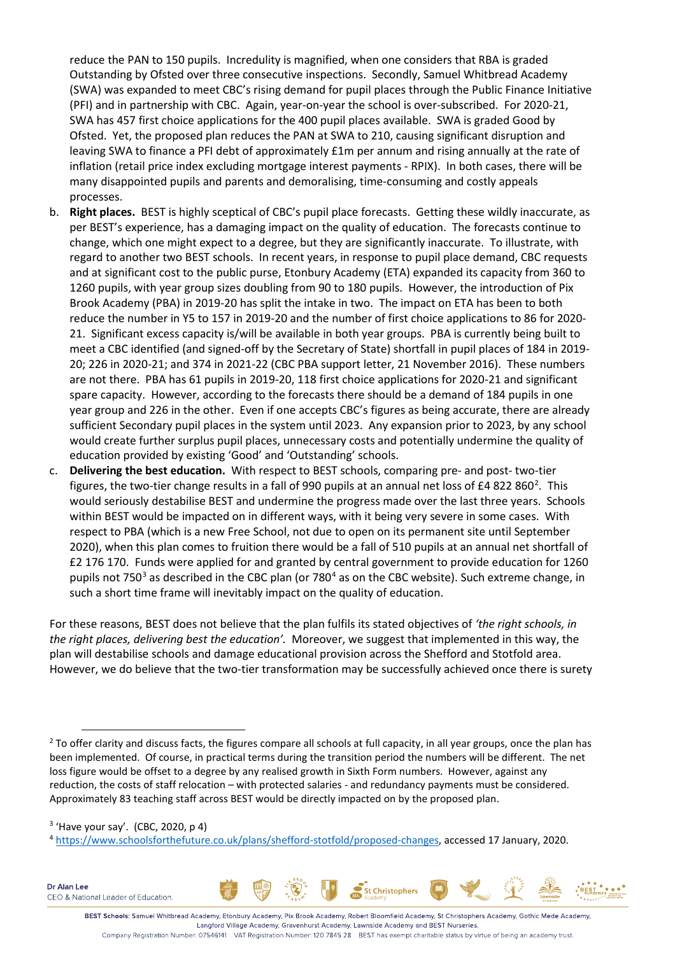reduce the PAN to 150 pupils. Incredulity is magnified, when one considers that RBA is graded Outstanding by Ofsted over three consecutive inspections. Secondly, Samuel Whitbread Academy (SWA) was expanded to meet CBC's rising demand for pupil places through the Public Finance Initiative (PFI) and in partnership with CBC. Again, year-on-year the school is over-subscribed. For 2020-21, SWA has 457 first choice applications for the 400 pupil places available. SWA is graded Good by Ofsted. Yet, the proposed plan reduces the PAN at SWA to 210, causing significant disruption and leaving SWA to finance a PFI debt of approximately £1m per annum and rising annually at the rate of inflation (retail price index excluding mortgage interest payments - RPIX). In both cases, there will be many disappointed pupils and parents and demoralising, time-consuming and costly appeals processes.

- b. **Right places.** BEST is highly sceptical of CBC's pupil place forecasts. Getting these wildly inaccurate, as per BEST's experience, has a damaging impact on the quality of education. The forecasts continue to change, which one might expect to a degree, but they are significantly inaccurate. To illustrate, with regard to another two BEST schools. In recent years, in response to pupil place demand, CBC requests and at significant cost to the public purse, Etonbury Academy (ETA) expanded its capacity from 360 to 1260 pupils, with year group sizes doubling from 90 to 180 pupils. However, the introduction of Pix Brook Academy (PBA) in 2019-20 has split the intake in two. The impact on ETA has been to both reduce the number in Y5 to 157 in 2019-20 and the number of first choice applications to 86 for 2020- 21. Significant excess capacity is/will be available in both year groups. PBA is currently being built to meet a CBC identified (and signed-off by the Secretary of State) shortfall in pupil places of 184 in 2019- 20; 226 in 2020-21; and 374 in 2021-22 (CBC PBA support letter, 21 November 2016). These numbers are not there. PBA has 61 pupils in 2019-20, 118 first choice applications for 2020-21 and significant spare capacity. However, according to the forecasts there should be a demand of 184 pupils in one year group and 226 in the other. Even if one accepts CBC's figures as being accurate, there are already sufficient Secondary pupil places in the system until 2023. Any expansion prior to 2023, by any school would create further surplus pupil places, unnecessary costs and potentially undermine the quality of education provided by existing 'Good' and 'Outstanding' schools.
- c. **Delivering the best education.** With respect to BEST schools, comparing pre- and post- two-tier figures, the two-tier change results in a fall of 990 pupils at an annual net loss of £4 8[2](#page-1-0)2 860<sup>2</sup>. This would seriously destabilise BEST and undermine the progress made over the last three years. Schools within BEST would be impacted on in different ways, with it being very severe in some cases. With respect to PBA (which is a new Free School, not due to open on its permanent site until September 2020), when this plan comes to fruition there would be a fall of 510 pupils at an annual net shortfall of £2 176 170. Funds were applied for and granted by central government to provide education for 1260 pupils not 750 $3$  as described in the CBC plan (or 780 $4$  as on the CBC website). Such extreme change, in such a short time frame will inevitably impact on the quality of education.

For these reasons, BEST does not believe that the plan fulfils its stated objectives of *'the right schools, in the right places, delivering best the education'.* Moreover, we suggest that implemented in this way, the plan will destabilise schools and damage educational provision across the Shefford and Stotfold area. However, we do believe that the two-tier transformation may be successfully achieved once there is surety

Dr Alan Lee CEO & National Leader of Education.



Langford Village Academy, Gravenhurst Academy, Lawnside Academy and BEST Nurseries. Company Registration Number: 07546141 VAT Registration Number: 120 7845 28 BEST has exempt charitable status by virtue of being an academy trust.

<span id="page-1-0"></span><sup>&</sup>lt;sup>2</sup> To offer clarity and discuss facts, the figures compare all schools at full capacity, in all year groups, once the plan has been implemented. Of course, in practical terms during the transition period the numbers will be different. The net loss figure would be offset to a degree by any realised growth in Sixth Form numbers. However, against any reduction, the costs of staff relocation – with protected salaries - and redundancy payments must be considered. Approximately 83 teaching staff across BEST would be directly impacted on by the proposed plan.

<span id="page-1-1"></span> $3$  'Have your say'. (CBC, 2020, p 4)

<span id="page-1-2"></span><sup>4</sup> [https://www.schoolsforthefuture.co.uk/plans/shefford-stotfold/proposed-changes,](https://www.schoolsforthefuture.co.uk/plans/shefford-stotfold/proposed-changes) accessed 17 January, 2020.